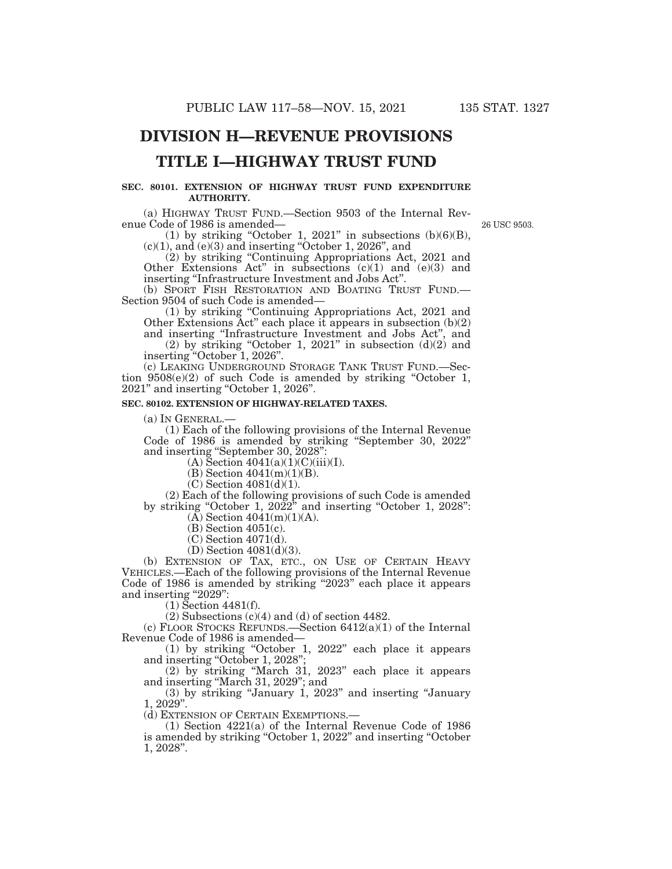# **DIVISION H—REVENUE PROVISIONS**

# **TITLE I—HIGHWAY TRUST FUND**

### **SEC. 80101. EXTENSION OF HIGHWAY TRUST FUND EXPENDITURE AUTHORITY.**

(a) HIGHWAY TRUST FUND.—Section 9503 of the Internal Revenue Code of 1986 is amended—

26 USC 9503.

(1) by striking "October 1, 2021" in subsections  $(b)(6)(B)$ ,  $(c)(1)$ , and  $(e)(3)$  and inserting "October 1, 2026", and

(2) by striking ''Continuing Appropriations Act, 2021 and Other Extensions Act'' in subsections (c)(1) and (e)(3) and inserting ''Infrastructure Investment and Jobs Act''.

(b) SPORT FISH RESTORATION AND BOATING TRUST FUND.— Section 9504 of such Code is amended—

(1) by striking ''Continuing Appropriations Act, 2021 and Other Extensions Act'' each place it appears in subsection (b)(2) and inserting ''Infrastructure Investment and Jobs Act'', and

(2) by striking "October 1, 2021" in subsection  $(d)(2)$  and inserting ''October 1, 2026''.

(c) LEAKING UNDERGROUND STORAGE TANK TRUST FUND.—Section  $9508(e)(2)$  of such Code is amended by striking "October 1, 2021'' and inserting ''October 1, 2026''.

### **SEC. 80102. EXTENSION OF HIGHWAY-RELATED TAXES.**

(a) IN GENERAL.—

(1) Each of the following provisions of the Internal Revenue Code of 1986 is amended by striking ''September 30, 2022'' and inserting ''September 30, 2028'':

 $(A)$  Section  $4041(a)(1)(C(iii)(I)).$ 

(B) Section 4041(m)(1)(B).

 $(C)$  Section 4081 $(d)(1)$ .

(2) Each of the following provisions of such Code is amended by striking ''October 1, 2022'' and inserting ''October 1, 2028'':  $(A)$  Section 4041(m)(1)(A).

(B) Section 4051(c). (C) Section 4071(d).

(D) Section 4081(d)(3).

(b) EXTENSION OF TAX, ETC., ON USE OF CERTAIN HEAVY VEHICLES.—Each of the following provisions of the Internal Revenue Code of 1986 is amended by striking "2023" each place it appears and inserting "2029":

(1) Section 4481(f).

(2) Subsections (c)(4) and (d) of section 4482.

(c) FLOOR STOCKS REFUNDS.—Section 6412(a)(1) of the Internal Revenue Code of 1986 is amended—

(1) by striking ''October 1, 2022'' each place it appears and inserting ''October 1, 2028'';

(2) by striking ''March 31, 2023'' each place it appears and inserting ''March 31, 2029''; and

(3) by striking ''January 1, 2023'' and inserting ''January 1, 2029''.

(d) EXTENSION OF CERTAIN EXEMPTIONS.— (1) Section 4221(a) of the Internal Revenue Code of 1986 is amended by striking "October 1, 2022" and inserting "October 1, 2028''.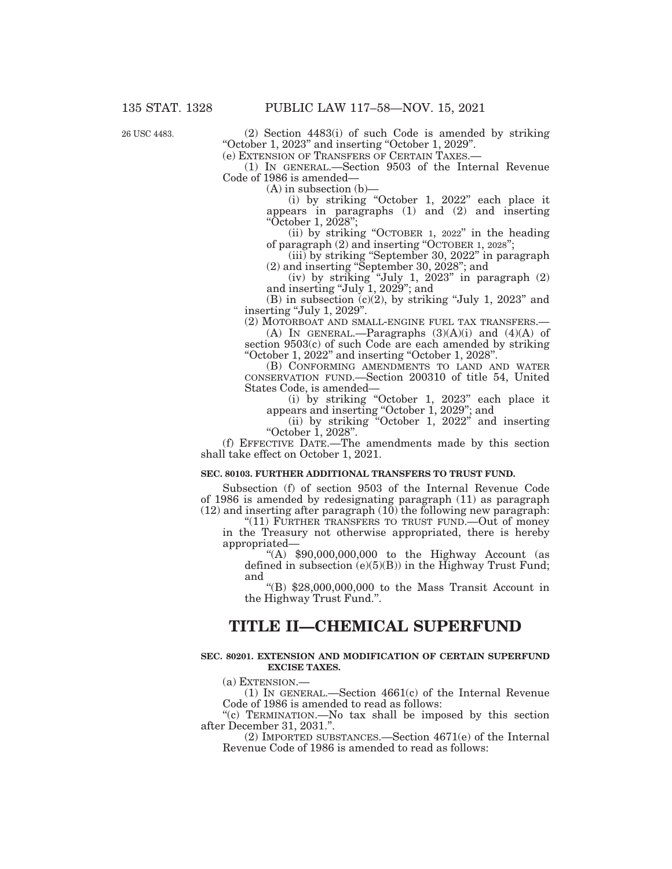26 USC 4483.

(2) Section 4483(i) of such Code is amended by striking ''October 1, 2023'' and inserting ''October 1, 2029''.

(e) EXTENSION OF TRANSFERS OF CERTAIN TAXES.—

(1) IN GENERAL.—Section 9503 of the Internal Revenue Code of 1986 is amended—

 $(A)$  in subsection  $(b)$ –

(i) by striking "October 1, 2022" each place it appears in paragraphs (1) and (2) and inserting ''October 1, 2028'';

(ii) by striking ''OCTOBER 1, 2022'' in the heading of paragraph (2) and inserting "OCTOBER 1, 2028";

(iii) by striking ''September 30, 2022'' in paragraph (2) and inserting ''September 30, 2028''; and

(iv) by striking ''July 1, 2023'' in paragraph (2) and inserting ''July 1, 2029''; and

(B) in subsection  $(c)(2)$ , by striking "July 1, 2023" and inserting "July 1, 2029".

(2) MOTORBOAT AND SMALL-ENGINE FUEL TAX TRANSFERS.—

(A) IN GENERAL.—Paragraphs  $(3)(A)(i)$  and  $(4)(A)$  of section 9503(c) of such Code are each amended by striking ''October 1, 2022'' and inserting ''October 1, 2028''.

(B) CONFORMING AMENDMENTS TO LAND AND WATER CONSERVATION FUND.—Section 200310 of title 54, United States Code, is amended—

(i) by striking ''October 1, 2023'' each place it appears and inserting ''October 1, 2029''; and

(ii) by striking ''October 1, 2022'' and inserting ''October 1, 2028''.

(f) EFFECTIVE DATE.—The amendments made by this section shall take effect on October 1, 2021.

### **SEC. 80103. FURTHER ADDITIONAL TRANSFERS TO TRUST FUND.**

Subsection (f) of section 9503 of the Internal Revenue Code of 1986 is amended by redesignating paragraph (11) as paragraph  $(12)$  and inserting after paragraph  $(10)$  the following new paragraph:

''(11) FURTHER TRANSFERS TO TRUST FUND.—Out of money in the Treasury not otherwise appropriated, there is hereby

"(A)  $$90,000,000,000$  to the Highway Account (as defined in subsection  $(e)(5)(B)$  in the Highway Trust Fund; and

''(B) \$28,000,000,000 to the Mass Transit Account in the Highway Trust Fund.''.

## **TITLE II—CHEMICAL SUPERFUND**

### **SEC. 80201. EXTENSION AND MODIFICATION OF CERTAIN SUPERFUND EXCISE TAXES.**

(a) EXTENSION.—

(1) IN GENERAL.—Section 4661(c) of the Internal Revenue Code of 1986 is amended to read as follows:

''(c) TERMINATION.—No tax shall be imposed by this section after December 31, 2031.''.

(2) IMPORTED SUBSTANCES.—Section 4671(e) of the Internal Revenue Code of 1986 is amended to read as follows: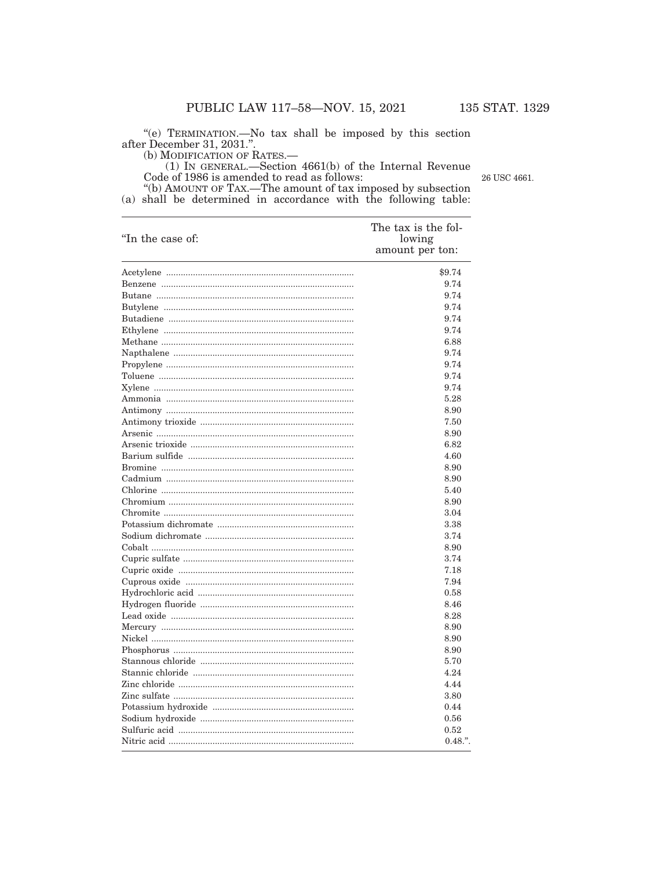"(e) TERMINATION.—No tax shall be imposed by this section after December 31, 2031."<br>(b) MODIFICATION OF RATES.—

26 USC 4661.

(b) MODIFICATION OF TATES.—<br>
(1) IN GENERAL.—Section 4661(b) of the Internal Revenue<br>
Code of 1986 is amended to read as follows:<br>
"(b) AMOUNT OF TAX.—The amount of tax imposed by subsection<br>
(a) shall be determined in ac

| "In the case of: | The tax is the fol-<br>lowing<br>amount per ton: |
|------------------|--------------------------------------------------|
|                  | \$9.74                                           |
|                  | 9.74                                             |
|                  | 9.74                                             |
|                  | 9.74                                             |
|                  | 9.74                                             |
|                  | 9.74                                             |
|                  | 6.88                                             |
|                  | 9.74                                             |
|                  | 9.74                                             |
|                  | 9.74                                             |
|                  | 9.74                                             |
|                  | 5.28                                             |
|                  | 8.90                                             |
|                  | 7.50                                             |
|                  | 8.90                                             |
|                  | 6.82                                             |
|                  | 4.60                                             |
|                  | 8.90                                             |
|                  | 8.90                                             |
|                  | 5.40                                             |
|                  | 8.90                                             |
|                  | 3.04                                             |
|                  | 3.38                                             |
|                  | 3.74                                             |
|                  | 8.90                                             |
|                  | 3.74                                             |
|                  | 7.18                                             |
|                  | 7.94                                             |
|                  | 0.58                                             |
|                  | 8.46                                             |
|                  | 8.28                                             |
|                  | 8.90                                             |
|                  | 8.90                                             |
|                  | 8.90                                             |
|                  | 5.70                                             |
|                  | 4.24                                             |
|                  | 4.44                                             |
|                  | 3.80                                             |
|                  | 0.44                                             |
|                  | 0.56                                             |
|                  | 0.52                                             |
|                  | $0.48$ .".                                       |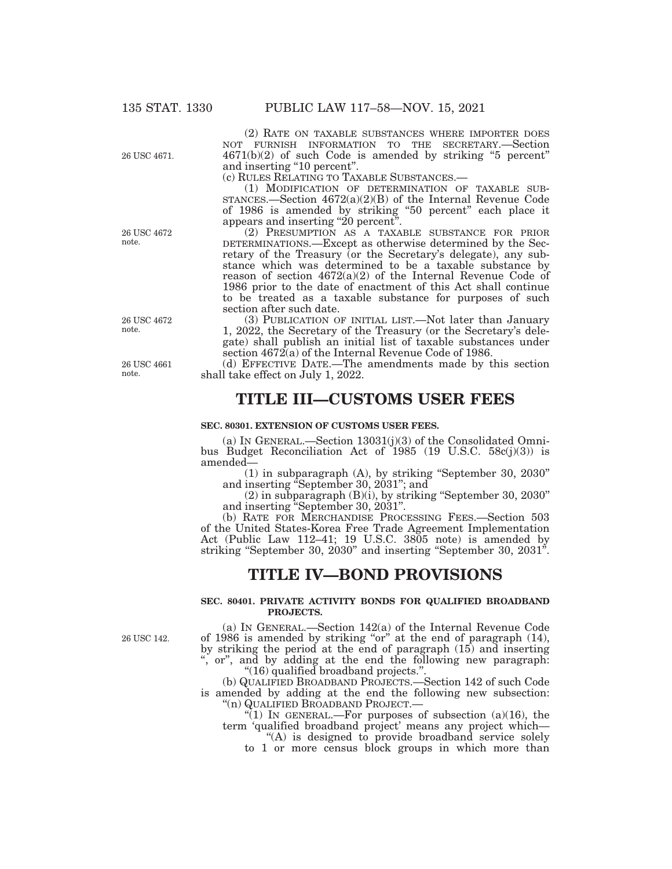(2) RATE ON TAXABLE SUBSTANCES WHERE IMPORTER DOES NOT FURNISH INFORMATION TO THE SECRETARY.—Section 4671(b)(2) of such Code is amended by striking ''5 percent'' and inserting "10 percent".

(c) RULES RELATING TO TAXABLE SUBSTANCES.—

(1) MODIFICATION OF DETERMINATION OF TAXABLE SUB-STANCES.—Section 4672(a)(2)(B) of the Internal Revenue Code of 1986 is amended by striking ''50 percent'' each place it appears and inserting "20 percent".

(2) PRESUMPTION AS A TAXABLE SUBSTANCE FOR PRIOR DETERMINATIONS.—Except as otherwise determined by the Secretary of the Treasury (or the Secretary's delegate), any substance which was determined to be a taxable substance by reason of section 4672(a)(2) of the Internal Revenue Code of 1986 prior to the date of enactment of this Act shall continue to be treated as a taxable substance for purposes of such section after such date.

(3) PUBLICATION OF INITIAL LIST.—Not later than January 1, 2022, the Secretary of the Treasury (or the Secretary's delegate) shall publish an initial list of taxable substances under section 4672(a) of the Internal Revenue Code of 1986.

(d) EFFECTIVE DATE.—The amendments made by this section shall take effect on July 1, 2022.

# **TITLE III—CUSTOMS USER FEES**

#### **SEC. 80301. EXTENSION OF CUSTOMS USER FEES.**

(a) IN GENERAL.—Section 13031(j)(3) of the Consolidated Omnibus Budget Reconciliation Act of 1985 (19 U.S.C. 58c(j)(3)) is amended—

(1) in subparagraph (A), by striking ''September 30, 2030'' and inserting ''September 30, 2031''; and

(2) in subparagraph (B)(i), by striking ''September 30, 2030'' and inserting ''September 30, 2031''.

(b) RATE FOR MERCHANDISE PROCESSING FEES.—Section 503 of the United States-Korea Free Trade Agreement Implementation Act (Public Law 112–41; 19 U.S.C. 3805 note) is amended by striking "September 30, 2030" and inserting "September 30, 2031".

### **TITLE IV—BOND PROVISIONS**

#### **SEC. 80401. PRIVATE ACTIVITY BONDS FOR QUALIFIED BROADBAND PROJECTS.**

26 USC 142.

(a) IN GENERAL.—Section 142(a) of the Internal Revenue Code of 1986 is amended by striking ''or'' at the end of paragraph (14), by striking the period at the end of paragraph (15) and inserting , or", and by adding at the end the following new paragraph:

''(16) qualified broadband projects.''. (b) QUALIFIED BROADBAND PROJECTS.—Section 142 of such Code is amended by adding at the end the following new subsection:  $\binom{10}{10}$  QUALIFIED BROADBAND PROJECT.

"(1) IN GENERAL.—For purposes of subsection (a)(16), the term 'qualified broadband project' means any project which— ''(A) is designed to provide broadband service solely

to 1 or more census block groups in which more than

26 USC 4672 note.

26 USC 4671.

26 USC 4672 note.

26 USC 4661 note.